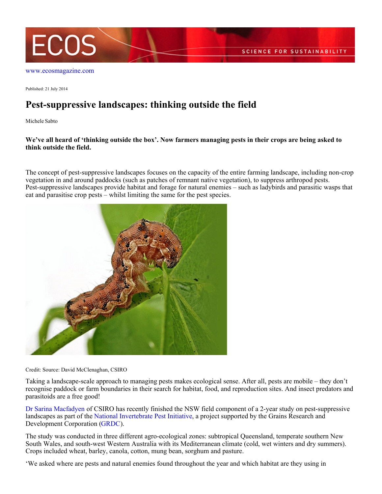

## [www.ecosmagazine.com](http://www.ecosmagazine.com)

Published: 21 July 2014

## **Pest-suppressive landscapes: thinking outside the field**

Michele Sabto

## **We've all heard of 'thinking outside the box'. Now farmers managing pests in their crops are being asked to think outside the field.**

The concept of pest-suppressive landscapes focuses on the capacity of the entire farming landscape, including non-crop vegetation in and around paddocks (such as patches of remnant native vegetation), to suppress arthropod pests. Pest-suppressive landscapes provide habitat and forage for natural enemies – such as ladybirds and parasitic wasps that eat and parasitise crop pests – whilst limiting the same for the pest species.



Credit: Source: David McClenaghan, CSIRO

Taking a landscape-scale approach to managing pests makes ecological sense. After all, pests are mobile – they don't recognise paddock or farm boundaries in their search for habitat, food, and reproduction sites. And insect predators and parasitoids are a free good!

[Dr Sarina Macfadyen](http://www.csiro.au/Organisation-Structure/Divisions/Ecosystem-Sciences/SarinaMacfadyen.aspx) of CSIRO has recently finished the NSW field component of a 2-year study on pest-suppressive landscapes as part of the [National Invertebrate Pest Initiative](http://www.nipi.com.au/research/pest-suppressive-landscapes/habitat-assessment/), a project supported by the Grains Research and Development Corporation [\(GRDC](http://www.grdc.com.au)).

The study was conducted in three different agro-ecological zones: subtropical Queensland, temperate southern New South Wales, and south-west Western Australia with its Mediterranean climate (cold, wet winters and dry summers). Crops included wheat, barley, canola, cotton, mung bean, sorghum and pasture.

'We asked where are pests and natural enemies found throughout the year and which habitat are they using in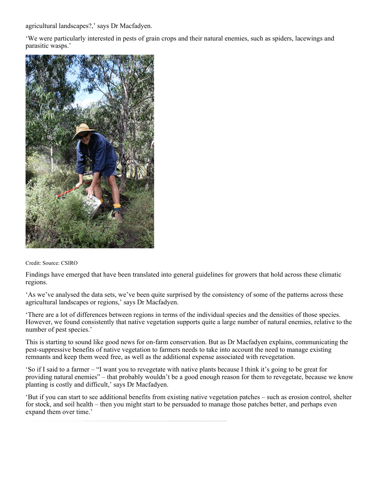agricultural landscapes?,' says Dr Macfadyen.

'We were particularly interested in pests of grain crops and their natural enemies, such as spiders, lacewings and parasitic wasps.'



## Credit: Source: CSIRO

Findings have emerged that have been translated into general guidelines for growers that hold across these climatic regions.

'As we've analysed the data sets, we've been quite surprised by the consistency of some of the patterns across these agricultural landscapes or regions,' says Dr Macfadyen.

'There are a lot of differences between regions in terms of the individual species and the densities of those species. However, we found consistently that native vegetation supports quite a large number of natural enemies, relative to the number of pest species.'

This is starting to sound like good news for on-farm conservation. But as Dr Macfadyen explains, communicating the pest-suppressive benefits of native vegetation to farmers needs to take into account the need to manage existing remnants and keep them weed free, as well as the additional expense associated with revegetation.

'So if I said to a farmer – "I want you to revegetate with native plants because I think it's going to be great for providing natural enemies" – that probably wouldn't be a good enough reason for them to revegetate, because we know planting is costly and difficult,' says Dr Macfadyen.

'But if you can start to see additional benefits from existing native vegetation patches – such as erosion control, shelter for stock, and soil health – then you might start to be persuaded to manage those patches better, and perhaps even expand them over time.'